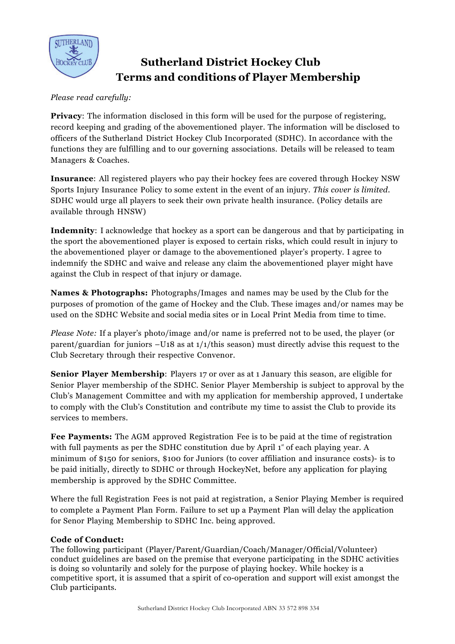

# **Sutherland District Hockey Club Terms and conditions of Player Membership**

## *Please read carefully:*

**Privacy**: The information disclosed in this form will be used for the purpose of registering, record keeping and grading of the abovementioned player. The information will be disclosed to officers of the Sutherland District Hockey Club Incorporated (SDHC). In accordance with the functions they are fulfilling and to our governing associations. Details will be released to team Managers & Coaches.

**Insurance**: All registered players who pay their hockey fees are covered through Hockey NSW Sports Injury Insurance Policy to some extent in the event of an injury. *This cover is limited.*  SDHC would urge all players to seek their own private health insurance. (Policy details are available through HNSW)

**Indemnity**: I acknowledge that hockey as a sport can be dangerous and that by participating in the sport the abovementioned player is exposed to certain risks, which could result in injury to the abovementioned player or damage to the abovementioned player's property. I agree to indemnify the SDHC and waive and release any claim the abovementioned player might have against the Club in respect of that injury or damage.

**Names & Photographs:** Photographs/Images and names may be used by the Club for the purposes of promotion of the game of Hockey and the Club. These images and/or names may be used on the SDHC Website and social media sites or in Local Print Media from time to time.

*Please Note:* If a player's photo/image and/or name is preferred not to be used, the player (or parent/guardian for juniors  $-U18$  as at  $1/1$ /this season) must directly advise this request to the Club Secretary through their respective Convenor.

**Senior Player Membership**: Players 17 or over as at 1 January this season, are eligible for Senior Player membership of the SDHC. Senior Player Membership is subject to approval by the Club's Management Committee and with my application for membership approved, I undertake to comply with the Club's Constitution and contribute my time to assist the Club to provide its services to members.

**Fee Payments:** The AGM approved Registration Fee is to be paid at the time of registration with full payments as per the SDHC constitution due by April  $1^*$  of each playing year. A minimum of \$150 for seniors, \$100 for Juniors (to cover affiliation and insurance costs)- is to be paid initially, directly to SDHC or through HockeyNet, before any application for playing membership is approved by the SDHC Committee.

Where the full Registration Fees is not paid at registration, a Senior Playing Member is required to complete a Payment Plan Form. Failure to set up a Payment Plan will delay the application for Senor Playing Membership to SDHC Inc. being approved.

### **Code of Conduct:**

The following participant (Player/Parent/Guardian/Coach/Manager/Official/Volunteer) conduct guidelines are based on the premise that everyone participating in the SDHC activities is doing so voluntarily and solely for the purpose of playing hockey. While hockey is a competitive sport, it is assumed that a spirit of co-operation and support will exist amongst the Club participants.